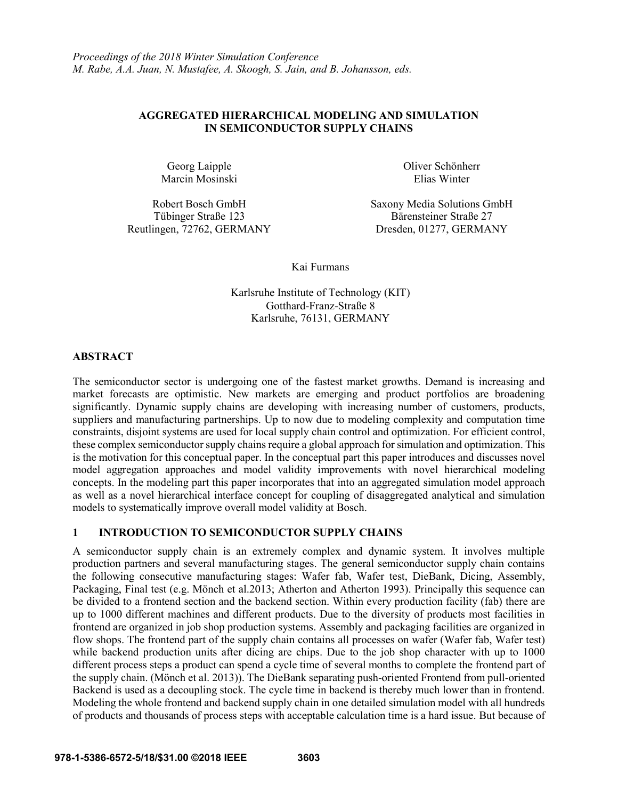# **AGGREGATED HIERARCHICAL MODELING AND SIMULATION IN SEMICONDUCTOR SUPPLY CHAINS**

Georg Laipple Marcin Mosinski

Reutlingen, 72762, GERMANY Dresden, 01277, GERMANY

Oliver Schönherr Elias Winter

Robert Bosch GmbH Saxony Media Solutions GmbH Tübinger Straße 123 Bärensteiner Straße 27

Kai Furmans

Karlsruhe Institute of Technology (KIT) Gotthard-Franz-Straße 8 Karlsruhe, 76131, GERMANY

## **ABSTRACT**

The semiconductor sector is undergoing one of the fastest market growths. Demand is increasing and market forecasts are optimistic. New markets are emerging and product portfolios are broadening significantly. Dynamic supply chains are developing with increasing number of customers, products, suppliers and manufacturing partnerships. Up to now due to modeling complexity and computation time constraints, disjoint systems are used for local supply chain control and optimization. For efficient control, these complex semiconductor supply chains require a global approach for simulation and optimization. This is the motivation for this conceptual paper. In the conceptual part this paper introduces and discusses novel model aggregation approaches and model validity improvements with novel hierarchical modeling concepts. In the modeling part this paper incorporates that into an aggregated simulation model approach as well as a novel hierarchical interface concept for coupling of disaggregated analytical and simulation models to systematically improve overall model validity at Bosch.

# **1 INTRODUCTION TO SEMICONDUCTOR SUPPLY CHAINS**

A semiconductor supply chain is an extremely complex and dynamic system. It involves multiple production partners and several manufacturing stages. The general semiconductor supply chain contains the following consecutive manufacturing stages: Wafer fab, Wafer test, DieBank, Dicing, Assembly, Packaging, Final test (e.g. Mönch et al.2013; Atherton and Atherton 1993). Principally this sequence can be divided to a frontend section and the backend section. Within every production facility (fab) there are up to 1000 different machines and different products. Due to the diversity of products most facilities in frontend are organized in job shop production systems. Assembly and packaging facilities are organized in flow shops. The frontend part of the supply chain contains all processes on wafer (Wafer fab, Wafer test) while backend production units after dicing are chips. Due to the job shop character with up to 1000 different process steps a product can spend a cycle time of several months to complete the frontend part of the supply chain. (Mönch et al. 2013)). The DieBank separating push-oriented Frontend from pull-oriented Backend is used as a decoupling stock. The cycle time in backend is thereby much lower than in frontend. Modeling the whole frontend and backend supply chain in one detailed simulation model with all hundreds of products and thousands of process steps with acceptable calculation time is a hard issue. But because of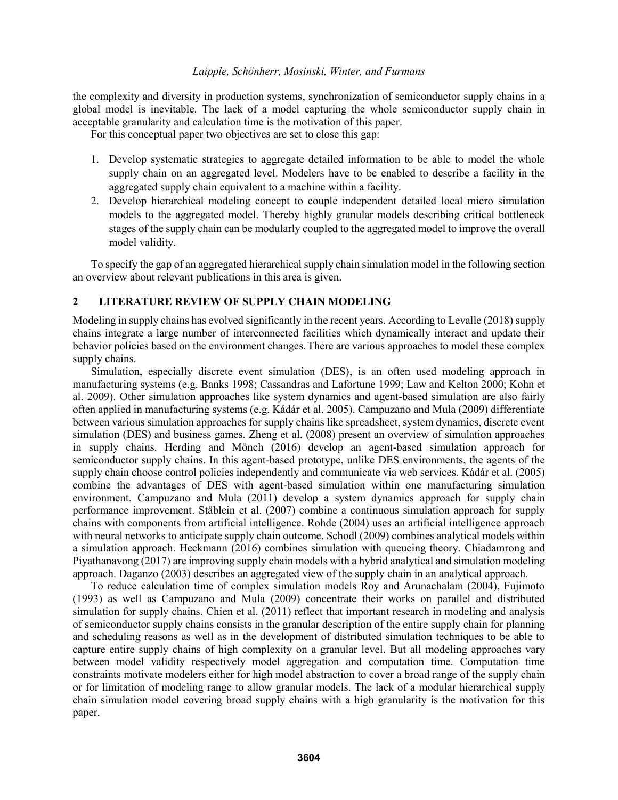the complexity and diversity in production systems, synchronization of semiconductor supply chains in a global model is inevitable. The lack of a model capturing the whole semiconductor supply chain in acceptable granularity and calculation time is the motivation of this paper.

For this conceptual paper two objectives are set to close this gap:

- 1. Develop systematic strategies to aggregate detailed information to be able to model the whole supply chain on an aggregated level. Modelers have to be enabled to describe a facility in the aggregated supply chain equivalent to a machine within a facility.
- 2. Develop hierarchical modeling concept to couple independent detailed local micro simulation models to the aggregated model. Thereby highly granular models describing critical bottleneck stages of the supply chain can be modularly coupled to the aggregated model to improve the overall model validity.

To specify the gap of an aggregated hierarchical supply chain simulation model in the following section an overview about relevant publications in this area is given.

## **2 LITERATURE REVIEW OF SUPPLY CHAIN MODELING**

Modeling in supply chains has evolved significantly in the recent years. According to Levalle (2018) supply chains integrate a large number of interconnected facilities which dynamically interact and update their behavior policies based on the environment changes. There are various approaches to model these complex supply chains.

Simulation, especially discrete event simulation (DES), is an often used modeling approach in manufacturing systems (e.g. Banks 1998; Cassandras and Lafortune 1999; Law and Kelton 2000; Kohn et al. 2009). Other simulation approaches like system dynamics and agent-based simulation are also fairly often applied in manufacturing systems (e.g. Kádár et al. 2005). Campuzano and Mula (2009) differentiate between various simulation approaches for supply chains like spreadsheet, system dynamics, discrete event simulation (DES) and business games. Zheng et al. (2008) present an overview of simulation approaches in supply chains. Herding and Mönch (2016) develop an agent-based simulation approach for semiconductor supply chains. In this agent-based prototype, unlike DES environments, the agents of the supply chain choose control policies independently and communicate via web services. Kádár et al. (2005) combine the advantages of DES with agent-based simulation within one manufacturing simulation environment. Campuzano and Mula (2011) develop a system dynamics approach for supply chain performance improvement. Stäblein et al. (2007) combine a continuous simulation approach for supply chains with components from artificial intelligence. Rohde (2004) uses an artificial intelligence approach with neural networks to anticipate supply chain outcome. Schodl (2009) combines analytical models within a simulation approach. Heckmann (2016) combines simulation with queueing theory. Chiadamrong and Piyathanavong (2017) are improving supply chain models with a hybrid analytical and simulation modeling approach. Daganzo (2003) describes an aggregated view of the supply chain in an analytical approach.

To reduce calculation time of complex simulation models Roy and Arunachalam (2004), Fujimoto (1993) as well as Campuzano and Mula (2009) concentrate their works on parallel and distributed simulation for supply chains. Chien et al. (2011) reflect that important research in modeling and analysis of semiconductor supply chains consists in the granular description of the entire supply chain for planning and scheduling reasons as well as in the development of distributed simulation techniques to be able to capture entire supply chains of high complexity on a granular level. But all modeling approaches vary between model validity respectively model aggregation and computation time. Computation time constraints motivate modelers either for high model abstraction to cover a broad range of the supply chain or for limitation of modeling range to allow granular models. The lack of a modular hierarchical supply chain simulation model covering broad supply chains with a high granularity is the motivation for this paper.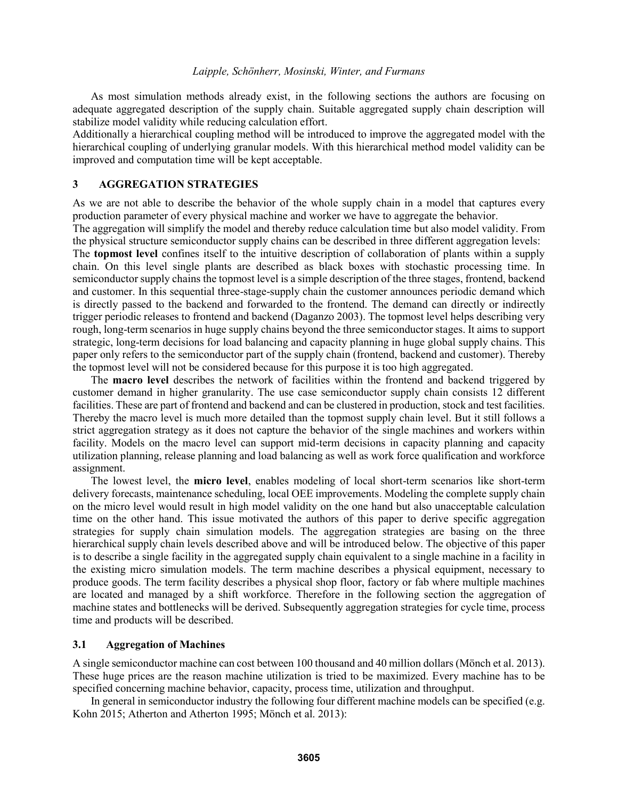As most simulation methods already exist, in the following sections the authors are focusing on adequate aggregated description of the supply chain. Suitable aggregated supply chain description will stabilize model validity while reducing calculation effort.

Additionally a hierarchical coupling method will be introduced to improve the aggregated model with the hierarchical coupling of underlying granular models. With this hierarchical method model validity can be improved and computation time will be kept acceptable.

## **3 AGGREGATION STRATEGIES**

As we are not able to describe the behavior of the whole supply chain in a model that captures every production parameter of every physical machine and worker we have to aggregate the behavior.

The aggregation will simplify the model and thereby reduce calculation time but also model validity. From the physical structure semiconductor supply chains can be described in three different aggregation levels:

The **topmost level** confines itself to the intuitive description of collaboration of plants within a supply chain. On this level single plants are described as black boxes with stochastic processing time. In semiconductor supply chains the topmost level is a simple description of the three stages, frontend, backend and customer. In this sequential three-stage-supply chain the customer announces periodic demand which is directly passed to the backend and forwarded to the frontend. The demand can directly or indirectly trigger periodic releases to frontend and backend (Daganzo 2003). The topmost level helps describing very rough, long-term scenarios in huge supply chains beyond the three semiconductor stages. It aims to support strategic, long-term decisions for load balancing and capacity planning in huge global supply chains. This paper only refers to the semiconductor part of the supply chain (frontend, backend and customer). Thereby the topmost level will not be considered because for this purpose it is too high aggregated.

The **macro level** describes the network of facilities within the frontend and backend triggered by customer demand in higher granularity. The use case semiconductor supply chain consists 12 different facilities. These are part of frontend and backend and can be clustered in production, stock and test facilities. Thereby the macro level is much more detailed than the topmost supply chain level. But it still follows a strict aggregation strategy as it does not capture the behavior of the single machines and workers within facility. Models on the macro level can support mid-term decisions in capacity planning and capacity utilization planning, release planning and load balancing as well as work force qualification and workforce assignment.

The lowest level, the **micro level**, enables modeling of local short-term scenarios like short-term delivery forecasts, maintenance scheduling, local OEE improvements. Modeling the complete supply chain on the micro level would result in high model validity on the one hand but also unacceptable calculation time on the other hand. This issue motivated the authors of this paper to derive specific aggregation strategies for supply chain simulation models. The aggregation strategies are basing on the three hierarchical supply chain levels described above and will be introduced below. The objective of this paper is to describe a single facility in the aggregated supply chain equivalent to a single machine in a facility in the existing micro simulation models. The term machine describes a physical equipment, necessary to produce goods. The term facility describes a physical shop floor, factory or fab where multiple machines are located and managed by a shift workforce. Therefore in the following section the aggregation of machine states and bottlenecks will be derived. Subsequently aggregation strategies for cycle time, process time and products will be described.

### **3.1 Aggregation of Machines**

A single semiconductor machine can cost between 100 thousand and 40 million dollars (Mönch et al. 2013). These huge prices are the reason machine utilization is tried to be maximized. Every machine has to be specified concerning machine behavior, capacity, process time, utilization and throughput.

In general in semiconductor industry the following four different machine models can be specified (e.g. Kohn 2015; Atherton and Atherton 1995; Mönch et al. 2013):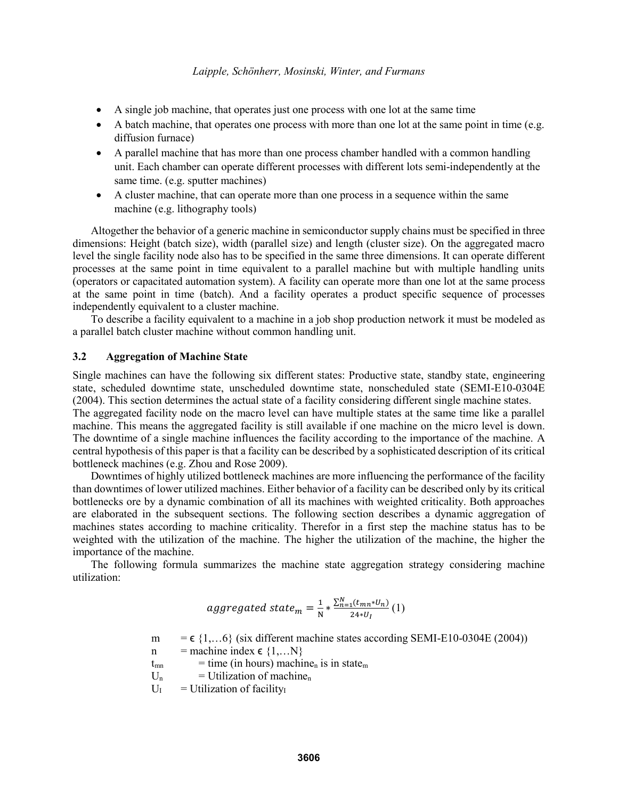- A single job machine, that operates just one process with one lot at the same time
- $\bullet$  A batch machine, that operates one process with more than one lot at the same point in time (e.g. diffusion furnace)
- A parallel machine that has more than one process chamber handled with a common handling unit. Each chamber can operate different processes with different lots semi-independently at the same time. (e.g. sputter machines)
- A cluster machine, that can operate more than one process in a sequence within the same machine (e.g. lithography tools)

Altogether the behavior of a generic machine in semiconductor supply chains must be specified in three dimensions: Height (batch size), width (parallel size) and length (cluster size). On the aggregated macro level the single facility node also has to be specified in the same three dimensions. It can operate different processes at the same point in time equivalent to a parallel machine but with multiple handling units (operators or capacitated automation system). A facility can operate more than one lot at the same process at the same point in time (batch). And a facility operates a product specific sequence of processes independently equivalent to a cluster machine.

To describe a facility equivalent to a machine in a job shop production network it must be modeled as a parallel batch cluster machine without common handling unit.

# **3.2 Aggregation of Machine State**

Single machines can have the following six different states: Productive state, standby state, engineering state, scheduled downtime state, unscheduled downtime state, nonscheduled state (SEMI-E10-0304E (2004). This section determines the actual state of a facility considering different single machine states.

The aggregated facility node on the macro level can have multiple states at the same time like a parallel machine. This means the aggregated facility is still available if one machine on the micro level is down. The downtime of a single machine influences the facility according to the importance of the machine. A central hypothesis of this paper is that a facility can be described by a sophisticated description of its critical bottleneck machines (e.g. Zhou and Rose 2009).

Downtimes of highly utilized bottleneck machines are more influencing the performance of the facility than downtimes of lower utilized machines. Either behavior of a facility can be described only by its critical bottlenecks ore by a dynamic combination of all its machines with weighted criticality. Both approaches are elaborated in the subsequent sections. The following section describes a dynamic aggregation of machines states according to machine criticality. Therefor in a first step the machine status has to be weighted with the utilization of the machine. The higher the utilization of the machine, the higher the importance of the machine.

The following formula summarizes the machine state aggregation strategy considering machine utilization:

$$
aggregate data \t_{m} = \frac{1}{N} * \frac{\sum_{n=1}^{N} (t_{mn} * U_{n})}{24 * U_{I}} (1)
$$

m =  $\epsilon$  {1,...6} (six different machine states according SEMI-E10-0304E (2004))

- n = machine index  $\epsilon$  {1,...N}
- $t_{mn}$  = time (in hours) machine<sub>n</sub> is in state<sub>m</sub>
- $U_n$  = Utilization of machine<sub>n</sub>
- $U_{I}$  = Utilization of facility<sub>I</sub>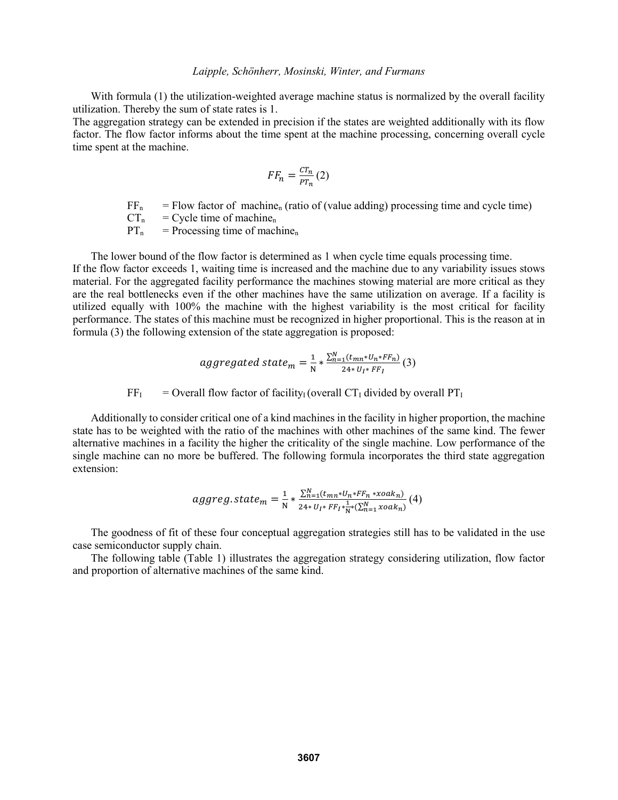With formula (1) the utilization-weighted average machine status is normalized by the overall facility utilization. Thereby the sum of state rates is 1.

The aggregation strategy can be extended in precision if the states are weighted additionally with its flow factor. The flow factor informs about the time spent at the machine processing, concerning overall cycle time spent at the machine.

$$
FF_n = \frac{CT_n}{PT_n}(2)
$$

 $FF<sub>n</sub>$  = Flow factor of machine<sub>n</sub> (ratio of (value adding) processing time and cycle time)

 $CT_n$  = Cycle time of machine<sub>n</sub>

 $PT_n$  = Processing time of machine<sub>n</sub>

The lower bound of the flow factor is determined as 1 when cycle time equals processing time. If the flow factor exceeds 1, waiting time is increased and the machine due to any variability issues stows material. For the aggregated facility performance the machines stowing material are more critical as they are the real bottlenecks even if the other machines have the same utilization on average. If a facility is utilized equally with 100% the machine with the highest variability is the most critical for facility performance. The states of this machine must be recognized in higher proportional. This is the reason at in formula (3) the following extension of the state aggregation is proposed:

$$
aggregate data \t{a} = \frac{1}{N} * \frac{\sum_{n=1}^{N} (t_{mn} * U_{n} * FF_{n})}{24 * U_{l} * FF_{l}} (3)
$$

 $FF<sub>I</sub>$  = Overall flow factor of facility<sub>I</sub> (overall  $CT<sub>I</sub>$  divided by overall  $PT<sub>I</sub>$ 

Additionally to consider critical one of a kind machines in the facility in higher proportion, the machine state has to be weighted with the ratio of the machines with other machines of the same kind. The fewer alternative machines in a facility the higher the criticality of the single machine. Low performance of the single machine can no more be buffered. The following formula incorporates the third state aggregation extension:

$$
aggreg. state_m = \frac{1}{N} * \frac{\sum_{n=1}^{N} (t_{mn} * U_n * FF_n * xoak_n)}{24 * U_I * FF_I * \frac{1}{N} * (\sum_{n=1}^{N} xoak_n)} (4)
$$

The goodness of fit of these four conceptual aggregation strategies still has to be validated in the use case semiconductor supply chain.

The following table (Table 1) illustrates the aggregation strategy considering utilization, flow factor and proportion of alternative machines of the same kind.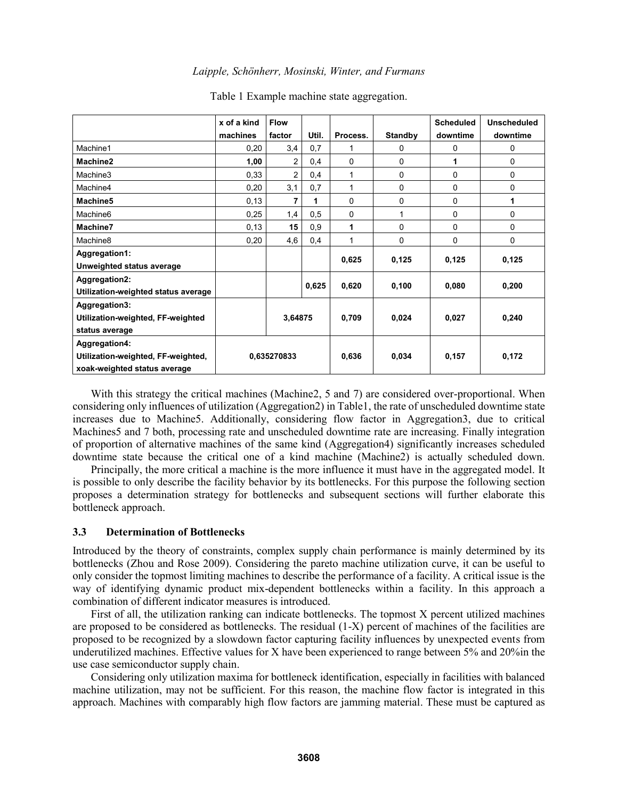|                                     | x of a kind | <b>Flow</b>    |       |              |                | <b>Scheduled</b> | <b>Unscheduled</b> |
|-------------------------------------|-------------|----------------|-------|--------------|----------------|------------------|--------------------|
|                                     | machines    | factor         | Util. | Process.     | <b>Standby</b> | downtime         | downtime           |
| Machine1                            | 0,20        | 3,4            | 0,7   | 1            | 0              | 0                | 0                  |
| Machine2                            | 1,00        | 2              | 0,4   | 0            | 0              | 1                | 0                  |
| Machine3                            | 0,33        | $\overline{2}$ | 0,4   | 1            | 0              | 0                | 0                  |
| Machine4                            | 0,20        | 3,1            | 0,7   | $\mathbf{1}$ | 0              | 0                | 0                  |
| Machine5                            | 0,13        | 7              | 1     | 0            | 0              | 0                | 1                  |
| Machine <sub>6</sub>                | 0,25        | 1,4            | 0,5   | 0            | 1              | 0                | 0                  |
| Machine7                            | 0,13        | 15             | 0,9   | 1            | 0              | 0                | 0                  |
| Machine <sub>8</sub>                | 0,20        | 4,6            | 0,4   | 1            | 0              | 0                | 0                  |
| Aggregation1:                       |             |                |       |              |                |                  |                    |
| Unweighted status average           |             |                |       | 0,625        | 0,125          | 0,125            | 0,125              |
| Aggregation2:                       |             |                | 0,625 |              | 0,100          | 0,080            |                    |
| Utilization-weighted status average |             |                |       | 0,620        |                |                  | 0,200              |
| Aggregation3:                       |             |                |       |              |                |                  |                    |
| Utilization-weighted, FF-weighted   |             | 3,64875        |       | 0,709        | 0,024          | 0,027            | 0,240              |
| status average                      |             |                |       |              |                |                  |                    |
| Aggregation4:                       |             |                |       |              |                |                  |                    |
| Utilization-weighted, FF-weighted,  |             | 0,635270833    |       | 0,636        | 0,034          | 0,157            | 0,172              |
| xoak-weighted status average        |             |                |       |              |                |                  |                    |

#### Table 1 Example machine state aggregation.

With this strategy the critical machines (Machine2, 5 and 7) are considered over-proportional. When considering only influences of utilization (Aggregation2) in Table1, the rate of unscheduled downtime state increases due to Machine5. Additionally, considering flow factor in Aggregation3, due to critical Machines5 and 7 both, processing rate and unscheduled downtime rate are increasing. Finally integration of proportion of alternative machines of the same kind (Aggregation4) significantly increases scheduled downtime state because the critical one of a kind machine (Machine2) is actually scheduled down.

Principally, the more critical a machine is the more influence it must have in the aggregated model. It is possible to only describe the facility behavior by its bottlenecks. For this purpose the following section proposes a determination strategy for bottlenecks and subsequent sections will further elaborate this bottleneck approach.

### **3.3 Determination of Bottlenecks**

Introduced by the theory of constraints, complex supply chain performance is mainly determined by its bottlenecks (Zhou and Rose 2009). Considering the pareto machine utilization curve, it can be useful to only consider the topmost limiting machines to describe the performance of a facility. A critical issue is the way of identifying dynamic product mix-dependent bottlenecks within a facility. In this approach a combination of different indicator measures is introduced.

First of all, the utilization ranking can indicate bottlenecks. The topmost X percent utilized machines are proposed to be considered as bottlenecks. The residual (1-X) percent of machines of the facilities are proposed to be recognized by a slowdown factor capturing facility influences by unexpected events from underutilized machines. Effective values for X have been experienced to range between 5% and 20%in the use case semiconductor supply chain.

Considering only utilization maxima for bottleneck identification, especially in facilities with balanced machine utilization, may not be sufficient. For this reason, the machine flow factor is integrated in this approach. Machines with comparably high flow factors are jamming material. These must be captured as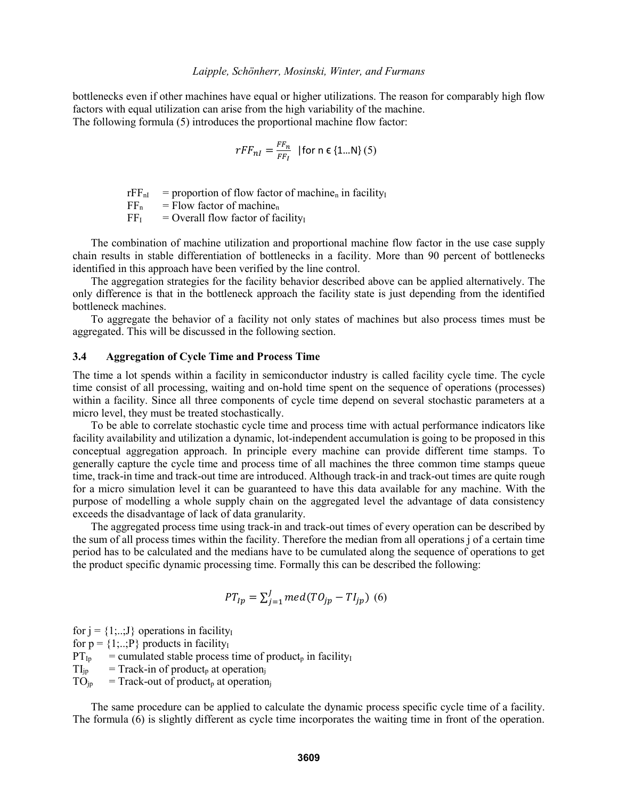bottlenecks even if other machines have equal or higher utilizations. The reason for comparably high flow factors with equal utilization can arise from the high variability of the machine. The following formula (5) introduces the proportional machine flow factor:

$$
rFF_{nl} = \frac{FF_n}{FF_l} \quad \text{[for n \in \{1...N\} (5)]}
$$

 $rFF_{nl}$  = proportion of flow factor of machine<sub>n</sub> in facility<sub>I</sub>

 $FF_n$  = Flow factor of machine<sub>n</sub>

 $FF<sub>I</sub> = Overall flow factor of facility<sub>I</sub>$ 

The combination of machine utilization and proportional machine flow factor in the use case supply chain results in stable differentiation of bottlenecks in a facility. More than 90 percent of bottlenecks identified in this approach have been verified by the line control.

The aggregation strategies for the facility behavior described above can be applied alternatively. The only difference is that in the bottleneck approach the facility state is just depending from the identified bottleneck machines.

To aggregate the behavior of a facility not only states of machines but also process times must be aggregated. This will be discussed in the following section.

## **3.4 Aggregation of Cycle Time and Process Time**

The time a lot spends within a facility in semiconductor industry is called facility cycle time. The cycle time consist of all processing, waiting and on-hold time spent on the sequence of operations (processes) within a facility. Since all three components of cycle time depend on several stochastic parameters at a micro level, they must be treated stochastically.

To be able to correlate stochastic cycle time and process time with actual performance indicators like facility availability and utilization a dynamic, lot-independent accumulation is going to be proposed in this conceptual aggregation approach. In principle every machine can provide different time stamps. To generally capture the cycle time and process time of all machines the three common time stamps queue time, track-in time and track-out time are introduced. Although track-in and track-out times are quite rough for a micro simulation level it can be guaranteed to have this data available for any machine. With the purpose of modelling a whole supply chain on the aggregated level the advantage of data consistency exceeds the disadvantage of lack of data granularity.

The aggregated process time using track-in and track-out times of every operation can be described by the sum of all process times within the facility. Therefore the median from all operations j of a certain time period has to be calculated and the medians have to be cumulated along the sequence of operations to get the product specific dynamic processing time. Formally this can be described the following:

$$
PT_{lp} = \sum_{j=1}^{J} med(TO_{jp} - TI_{jp})
$$
 (6)

for  $j = \{1, \ldots, J\}$  operations in facility for  $p = \{1,..,P\}$  products in facility<sub>I</sub>  $PT_{Ip}$  = cumulated stable process time of product<sub>p</sub> in facility<sub>I</sub>  $TI_{ip}$  = Track-in of product<sub>p</sub> at operation<sub>j</sub>

 $TO_{ip}$  = Track-out of product<sub>p</sub> at operation<sub>i</sub>

The same procedure can be applied to calculate the dynamic process specific cycle time of a facility. The formula (6) is slightly different as cycle time incorporates the waiting time in front of the operation.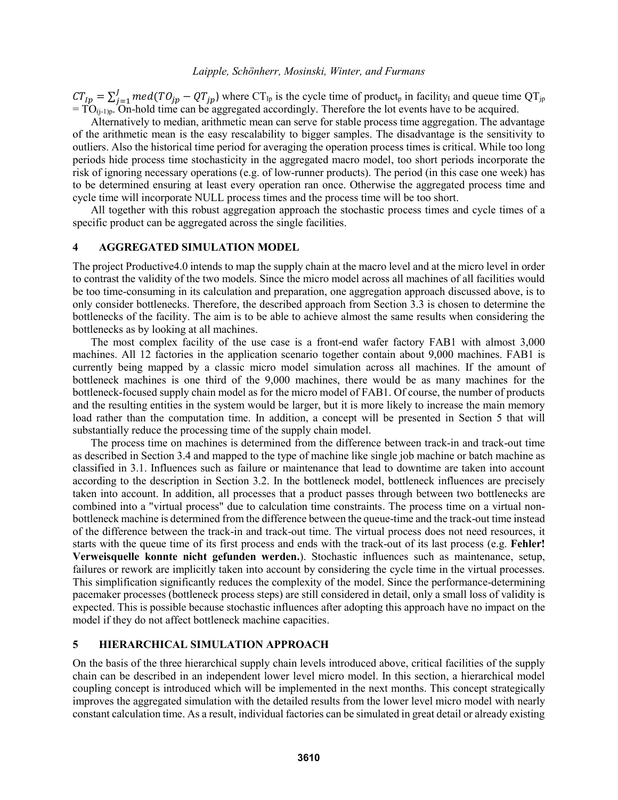$CT_{lp} = \sum_{j=1}^{J} med(TO_{jp} - QT_{jp})$  $\sum_{j=1}^{J} med(TO_{jp} - QT_{jp})$  where  $CT_{lp}$  is the cycle time of product<sub>p</sub> in facility<sub>I</sub> and queue time QT<sub>jp</sub>  $= TO_{(j-1)p}$ . On-hold time can be aggregated accordingly. Therefore the lot events have to be acquired.

Alternatively to median, arithmetic mean can serve for stable process time aggregation. The advantage of the arithmetic mean is the easy rescalability to bigger samples. The disadvantage is the sensitivity to outliers. Also the historical time period for averaging the operation process times is critical. While too long periods hide process time stochasticity in the aggregated macro model, too short periods incorporate the risk of ignoring necessary operations (e.g. of low-runner products). The period (in this case one week) has to be determined ensuring at least every operation ran once. Otherwise the aggregated process time and cycle time will incorporate NULL process times and the process time will be too short.

All together with this robust aggregation approach the stochastic process times and cycle times of a specific product can be aggregated across the single facilities.

### **4 AGGREGATED SIMULATION MODEL**

The project Productive4.0 intends to map the supply chain at the macro level and at the micro level in order to contrast the validity of the two models. Since the micro model across all machines of all facilities would be too time-consuming in its calculation and preparation, one aggregation approach discussed above, is to only consider bottlenecks. Therefore, the described approach from Section 3.3 is chosen to determine the bottlenecks of the facility. The aim is to be able to achieve almost the same results when considering the bottlenecks as by looking at all machines.

The most complex facility of the use case is a front-end wafer factory FAB1 with almost 3,000 machines. All 12 factories in the application scenario together contain about 9,000 machines. FAB1 is currently being mapped by a classic micro model simulation across all machines. If the amount of bottleneck machines is one third of the 9,000 machines, there would be as many machines for the bottleneck-focused supply chain model as for the micro model of FAB1. Of course, the number of products and the resulting entities in the system would be larger, but it is more likely to increase the main memory load rather than the computation time. In addition, a concept will be presented in Section 5 that will substantially reduce the processing time of the supply chain model.

The process time on machines is determined from the difference between track-in and track-out time as described in Section 3.4 and mapped to the type of machine like single job machine or batch machine as classified in 3.1. Influences such as failure or maintenance that lead to downtime are taken into account according to the description in Section 3.2. In the bottleneck model, bottleneck influences are precisely taken into account. In addition, all processes that a product passes through between two bottlenecks are combined into a "virtual process" due to calculation time constraints. The process time on a virtual nonbottleneck machine is determined from the difference between the queue-time and the track-out time instead of the difference between the track-in and track-out time. The virtual process does not need resources, it starts with the queue time of its first process and ends with the track-out of its last process (e.g. **Fehler! Verweisquelle konnte nicht gefunden werden.**). Stochastic influences such as maintenance, setup, failures or rework are implicitly taken into account by considering the cycle time in the virtual processes. This simplification significantly reduces the complexity of the model. Since the performance-determining pacemaker processes (bottleneck process steps) are still considered in detail, only a small loss of validity is expected. This is possible because stochastic influences after adopting this approach have no impact on the model if they do not affect bottleneck machine capacities.

# **5 HIERARCHICAL SIMULATION APPROACH**

On the basis of the three hierarchical supply chain levels introduced above, critical facilities of the supply chain can be described in an independent lower level micro model. In this section, a hierarchical model coupling concept is introduced which will be implemented in the next months. This concept strategically improves the aggregated simulation with the detailed results from the lower level micro model with nearly constant calculation time. As a result, individual factories can be simulated in great detail or already existing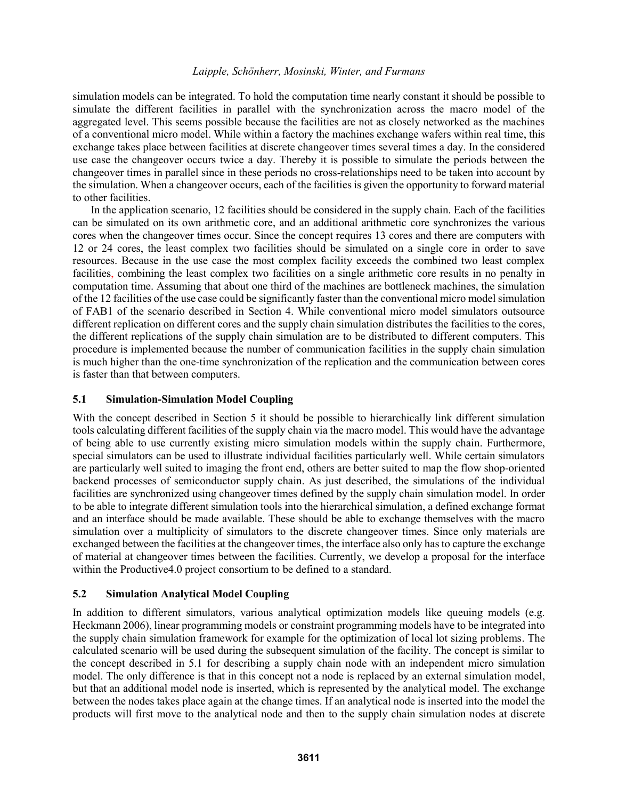simulation models can be integrated. To hold the computation time nearly constant it should be possible to simulate the different facilities in parallel with the synchronization across the macro model of the aggregated level. This seems possible because the facilities are not as closely networked as the machines of a conventional micro model. While within a factory the machines exchange wafers within real time, this exchange takes place between facilities at discrete changeover times several times a day. In the considered use case the changeover occurs twice a day. Thereby it is possible to simulate the periods between the changeover times in parallel since in these periods no cross-relationships need to be taken into account by the simulation. When a changeover occurs, each of the facilities is given the opportunity to forward material to other facilities.

In the application scenario, 12 facilities should be considered in the supply chain. Each of the facilities can be simulated on its own arithmetic core, and an additional arithmetic core synchronizes the various cores when the changeover times occur. Since the concept requires 13 cores and there are computers with 12 or 24 cores, the least complex two facilities should be simulated on a single core in order to save resources. Because in the use case the most complex facility exceeds the combined two least complex facilities, combining the least complex two facilities on a single arithmetic core results in no penalty in computation time. Assuming that about one third of the machines are bottleneck machines, the simulation of the 12 facilities of the use case could be significantly faster than the conventional micro model simulation of FAB1 of the scenario described in Section 4. While conventional micro model simulators outsource different replication on different cores and the supply chain simulation distributes the facilities to the cores, the different replications of the supply chain simulation are to be distributed to different computers. This procedure is implemented because the number of communication facilities in the supply chain simulation is much higher than the one-time synchronization of the replication and the communication between cores is faster than that between computers.

# **5.1 Simulation-Simulation Model Coupling**

With the concept described in Section 5 it should be possible to hierarchically link different simulation tools calculating different facilities of the supply chain via the macro model. This would have the advantage of being able to use currently existing micro simulation models within the supply chain. Furthermore, special simulators can be used to illustrate individual facilities particularly well. While certain simulators are particularly well suited to imaging the front end, others are better suited to map the flow shop-oriented backend processes of semiconductor supply chain. As just described, the simulations of the individual facilities are synchronized using changeover times defined by the supply chain simulation model. In order to be able to integrate different simulation tools into the hierarchical simulation, a defined exchange format and an interface should be made available. These should be able to exchange themselves with the macro simulation over a multiplicity of simulators to the discrete changeover times. Since only materials are exchanged between the facilities at the changeover times, the interface also only has to capture the exchange of material at changeover times between the facilities. Currently, we develop a proposal for the interface within the Productive4.0 project consortium to be defined to a standard.

# **5.2 Simulation Analytical Model Coupling**

In addition to different simulators, various analytical optimization models like queuing models (e.g. Heckmann 2006), linear programming models or constraint programming models have to be integrated into the supply chain simulation framework for example for the optimization of local lot sizing problems. The calculated scenario will be used during the subsequent simulation of the facility. The concept is similar to the concept described in 5.1 for describing a supply chain node with an independent micro simulation model. The only difference is that in this concept not a node is replaced by an external simulation model, but that an additional model node is inserted, which is represented by the analytical model. The exchange between the nodes takes place again at the change times. If an analytical node is inserted into the model the products will first move to the analytical node and then to the supply chain simulation nodes at discrete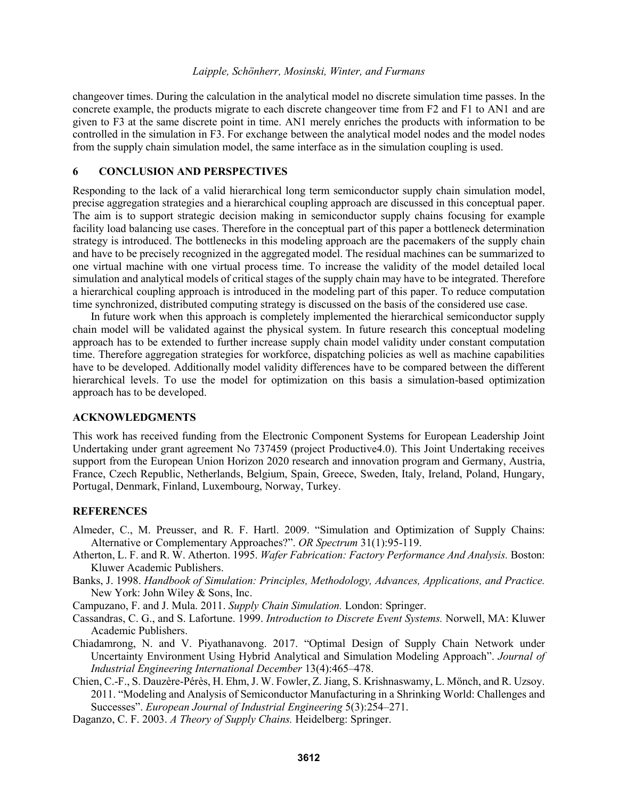changeover times. During the calculation in the analytical model no discrete simulation time passes. In the concrete example, the products migrate to each discrete changeover time from F2 and F1 to AN1 and are given to F3 at the same discrete point in time. AN1 merely enriches the products with information to be controlled in the simulation in F3. For exchange between the analytical model nodes and the model nodes from the supply chain simulation model, the same interface as in the simulation coupling is used.

# **6 CONCLUSION AND PERSPECTIVES**

Responding to the lack of a valid hierarchical long term semiconductor supply chain simulation model, precise aggregation strategies and a hierarchical coupling approach are discussed in this conceptual paper. The aim is to support strategic decision making in semiconductor supply chains focusing for example facility load balancing use cases. Therefore in the conceptual part of this paper a bottleneck determination strategy is introduced. The bottlenecks in this modeling approach are the pacemakers of the supply chain and have to be precisely recognized in the aggregated model. The residual machines can be summarized to one virtual machine with one virtual process time. To increase the validity of the model detailed local simulation and analytical models of critical stages of the supply chain may have to be integrated. Therefore a hierarchical coupling approach is introduced in the modeling part of this paper. To reduce computation time synchronized, distributed computing strategy is discussed on the basis of the considered use case.

In future work when this approach is completely implemented the hierarchical semiconductor supply chain model will be validated against the physical system. In future research this conceptual modeling approach has to be extended to further increase supply chain model validity under constant computation time. Therefore aggregation strategies for workforce, dispatching policies as well as machine capabilities have to be developed. Additionally model validity differences have to be compared between the different hierarchical levels. To use the model for optimization on this basis a simulation-based optimization approach has to be developed.

## **ACKNOWLEDGMENTS**

This work has received funding from the Electronic Component Systems for European Leadership Joint Undertaking under grant agreement No 737459 (project Productive4.0). This Joint Undertaking receives support from the European Union Horizon 2020 research and innovation program and Germany, Austria, France, Czech Republic, Netherlands, Belgium, Spain, Greece, Sweden, Italy, Ireland, Poland, Hungary, Portugal, Denmark, Finland, Luxembourg, Norway, Turkey.

### **REFERENCES**

- Almeder, C., M. Preusser, and R. F. Hartl. 2009. "Simulation and Optimization of Supply Chains: Alternative or Complementary Approaches?". *OR Spectrum* 31(1):95-119.
- Atherton, L. F. and R. W. Atherton. 1995. *Wafer Fabrication: Factory Performance And Analysis.* Boston: Kluwer Academic Publishers.
- Banks, J. 1998. *Handbook of Simulation: Principles, Methodology, Advances, Applications, and Practice.* New York: John Wiley & Sons, Inc.
- Campuzano, F. and J. Mula. 2011. *Supply Chain Simulation.* London: Springer.
- Cassandras, C. G., and S. Lafortune. 1999. *Introduction to Discrete Event Systems.* Norwell, MA: Kluwer Academic Publishers.
- Chiadamrong, N. and V. Piyathanavong. 2017. "Optimal Design of Supply Chain Network under Uncertainty Environment Using Hybrid Analytical and Simulation Modeling Approach". *Journal of Industrial Engineering International December* 13(4):465–478.
- Chien, C.-F., S. Dauzère-Pérès, H. Ehm, J. W. Fowler, Z. Jiang, S. Krishnaswamy, L. Mönch, and R. Uzsoy. 2011. "Modeling and Analysis of Semiconductor Manufacturing in a Shrinking World: Challenges and Successes". *European Journal of Industrial Engineering* 5(3):254–271.
- Daganzo, C. F. 2003. *A Theory of Supply Chains.* Heidelberg: Springer.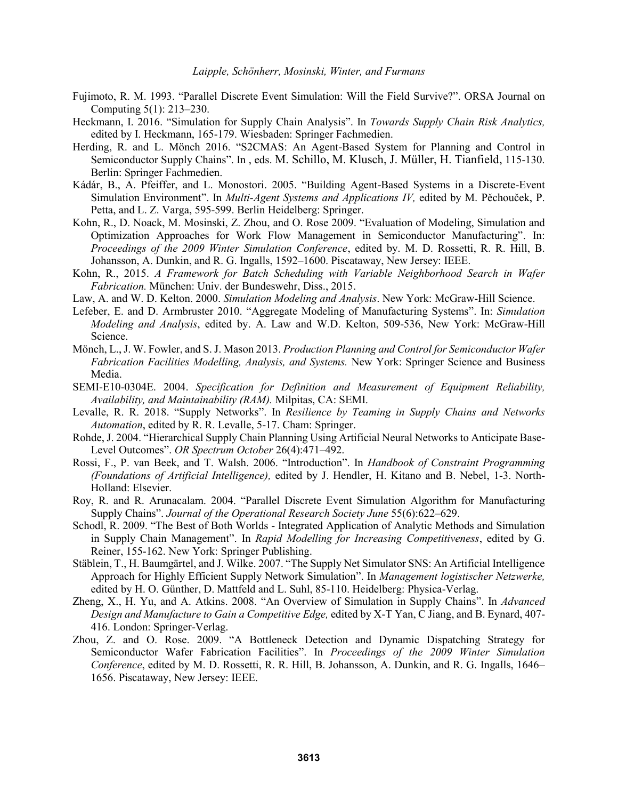- Fujimoto, R. M. 1993. "Parallel Discrete Event Simulation: Will the Field Survive?". ORSA Journal on Computing 5(1): 213–230.
- Heckmann, I. 2016. "Simulation for Supply Chain Analysis". In *Towards Supply Chain Risk Analytics,*  edited by I. Heckmann, 165-179. Wiesbaden: Springer Fachmedien.
- Herding, R. and L. Mönch 2016. "S2CMAS: An Agent-Based System for Planning and Control in Semiconductor Supply Chains". In , eds. M. Schillo, M. Klusch, J. Müller, H. Tianfield, 115-130. Berlin: Springer Fachmedien.
- Kádár, B., A. Pfeiffer, and L. Monostori. 2005. "Building Agent-Based Systems in a Discrete-Event Simulation Environment". In *Multi-Agent Systems and Applications IV,* edited by M. Pěchouček, P. Petta, and L. Z. Varga, 595-599. Berlin Heidelberg: Springer.
- Kohn, R., D. Noack, M. Mosinski, Z. Zhou, and O. Rose 2009. "Evaluation of Modeling, Simulation and Optimization Approaches for Work Flow Management in Semiconductor Manufacturing". In: *Proceedings of the 2009 Winter Simulation Conference*, edited by. M. D. Rossetti, R. R. Hill, B. Johansson, A. Dunkin, and R. G. Ingalls, 1592–1600. Piscataway, New Jersey: IEEE.
- Kohn, R., 2015. *A Framework for Batch Scheduling with Variable Neighborhood Search in Wafer Fabrication.* München: Univ. der Bundeswehr, Diss., 2015.
- Law, A. and W. D. Kelton. 2000. *Simulation Modeling and Analysis*. New York: McGraw-Hill Science.
- Lefeber, E. and D. Armbruster 2010. "Aggregate Modeling of Manufacturing Systems". In: *Simulation Modeling and Analysis*, edited by. A. Law and W.D. Kelton, 509-536, New York: McGraw-Hill Science.
- Mönch, L., J. W. Fowler, and S. J. Mason 2013. *Production Planning and Control for Semiconductor Wafer Fabrication Facilities Modelling, Analysis, and Systems.* New York: Springer Science and Business Media.
- SEMI-E10-0304E. 2004. *Specification for Definition and Measurement of Equipment Reliability, Availability, and Maintainability (RAM).* Milpitas, CA: SEMI.
- Levalle, R. R. 2018. "Supply Networks". In *Resilience by Teaming in Supply Chains and Networks Automation*, edited by R. R. Levalle, 5-17. Cham: Springer.
- Rohde, J. 2004. "Hierarchical Supply Chain Planning Using Artificial Neural Networks to Anticipate Base-Level Outcomes". *OR Spectrum October* 26(4):471–492.
- Rossi, F., P. van Beek, and T. Walsh. 2006. "Introduction". In *Handbook of Constraint Programming (Foundations of Artificial Intelligence),* edited by J. Hendler, H. Kitano and B. Nebel, 1-3. North-Holland: Elsevier.
- Roy, R. and R. Arunacalam. 2004. "Parallel Discrete Event Simulation Algorithm for Manufacturing Supply Chains". *Journal of the Operational Research Society June* 55(6):622–629.
- Schodl, R. 2009. "The Best of Both Worlds Integrated Application of Analytic Methods and Simulation in Supply Chain Management". In *Rapid Modelling for Increasing Competitiveness*, edited by G. Reiner, 155-162. New York: Springer Publishing.
- Stäblein, T., H. Baumgärtel, and J. Wilke. 2007. "The Supply Net Simulator SNS: An Artificial Intelligence Approach for Highly Efficient Supply Network Simulation". In *Management logistischer Netzwerke,* edited by H. O. Günther, D. Mattfeld and L. Suhl, 85-110. Heidelberg: Physica-Verlag.
- Zheng, X., H. Yu, and A. Atkins. 2008. "An Overview of Simulation in Supply Chains". In *Advanced Design and Manufacture to Gain a Competitive Edge,* edited by X-T Yan, C Jiang, and B. Eynard, 407- 416. London: Springer-Verlag.
- Zhou, Z. and O. Rose. 2009. "A Bottleneck Detection and Dynamic Dispatching Strategy for Semiconductor Wafer Fabrication Facilities". In *Proceedings of the 2009 Winter Simulation Conference*, edited by M. D. Rossetti, R. R. Hill, B. Johansson, A. Dunkin, and R. G. Ingalls, 1646– 1656. Piscataway, New Jersey: IEEE.